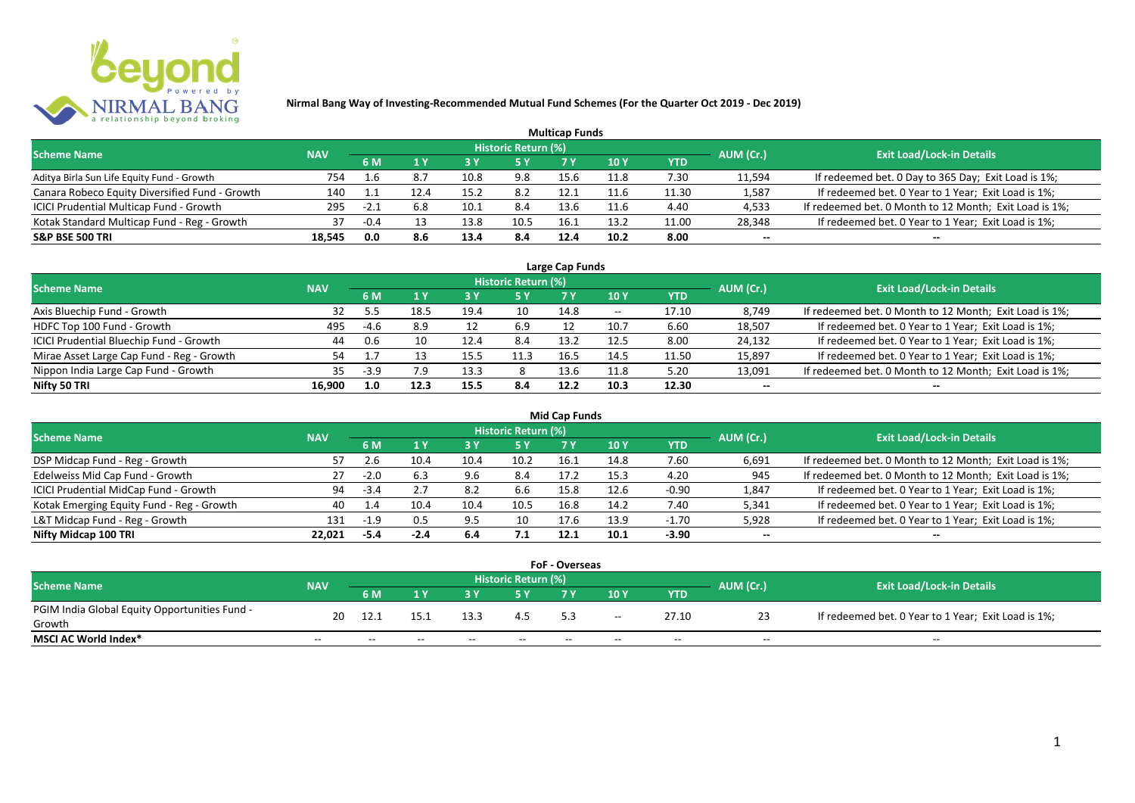

| <b>Multicap Funds</b>                          |            |        |     |      |                            |      |                 |            |           |                                                        |  |  |  |
|------------------------------------------------|------------|--------|-----|------|----------------------------|------|-----------------|------------|-----------|--------------------------------------------------------|--|--|--|
| <b>Scheme Name</b>                             | <b>NAV</b> |        |     |      | <b>Historic Return (%)</b> |      |                 |            | AUM (Cr.) | <b>Exit Load/Lock-in Details</b>                       |  |  |  |
|                                                |            | 6 M    |     | 73 Y |                            |      | 10 <sub>Y</sub> | <b>YTD</b> |           |                                                        |  |  |  |
| Aditya Birla Sun Life Equity Fund - Growth     | 754        | 1.6    |     | 10.8 | 9.8                        | 15.6 | 11.8            | 7.30       | 11,594    | If redeemed bet. 0 Day to 365 Day; Exit Load is 1%;    |  |  |  |
| Canara Robeco Equity Diversified Fund - Growth | 140        |        |     | 15.2 | 8.2                        | 12.1 | 11.6            | 11.30      | 1,587     | If redeemed bet. 0 Year to 1 Year; Exit Load is 1%;    |  |  |  |
| ICICI Prudential Multicap Fund - Growth        | 295        | $-2.1$ |     | 10.1 | 8.4                        | 13.6 | 11.6            | 4.40       | 4,533     | If redeemed bet. 0 Month to 12 Month; Exit Load is 1%; |  |  |  |
| Kotak Standard Multicap Fund - Reg - Growth    | 37         | -0.4   |     | 13.8 | 10.5                       | 16.1 | 13.2            | 11.00      | 28,348    | If redeemed bet. 0 Year to 1 Year; Exit Load is 1%;    |  |  |  |
| <b>S&amp;P BSE 500 TRI</b>                     | 18,545     | 0.0    | 8.6 | 13.4 | 8.4                        | 12.4 | 10.2            | 8.00       | $- -$     | --                                                     |  |  |  |

| Large Cap Funds                           |            |        |      |                          |                            |      |       |       |           |                                                        |  |  |
|-------------------------------------------|------------|--------|------|--------------------------|----------------------------|------|-------|-------|-----------|--------------------------------------------------------|--|--|
| <b>Scheme Name</b>                        | <b>NAV</b> |        |      |                          | <b>Historic Return (%)</b> |      |       |       | AUM (Cr.) | <b>Exit Load/Lock-in Details</b>                       |  |  |
|                                           |            | 6 M    |      | <b>10Y</b><br>5 Y<br>YTD |                            |      |       |       |           |                                                        |  |  |
| Axis Bluechip Fund - Growth               | 32         |        | 18.5 | 19.4                     | 10                         | 14.8 | $- -$ | 17.10 | 8,749     | If redeemed bet. 0 Month to 12 Month; Exit Load is 1%; |  |  |
| HDFC Top 100 Fund - Growth                | 495        | $-4.6$ | 8.9  |                          | 6.9                        |      | 10.7  | 6.60  | 18,507    | If redeemed bet. 0 Year to 1 Year; Exit Load is 1%;    |  |  |
| ICICI Prudential Bluechip Fund - Growth   | 44         | 0.6    | 10   | 12.4                     | 8.4                        | 13.2 | 12.5  | 8.00  | 24,132    | If redeemed bet. 0 Year to 1 Year; Exit Load is 1%;    |  |  |
| Mirae Asset Large Cap Fund - Reg - Growth | 54         |        |      | 15.5                     | 11.3                       | 16.5 | 14.5  | 11.50 | 15,897    | If redeemed bet. 0 Year to 1 Year; Exit Load is 1%;    |  |  |
| Nippon India Large Cap Fund - Growth      | 35.        | $-3.9$ | 7.9  | 13.3                     |                            | 13.6 | 11.8  | 5.20  | 13,091    | If redeemed bet. 0 Month to 12 Month; Exit Load is 1%; |  |  |
| Nifty 50 TRI                              | 16.900     | 1.0    | 12.3 | 15.5                     | 8.4                        | 12.2 | 10.3  | 12.30 | $- -$     | $- -$                                                  |  |  |

|                                           | <b>Mid Cap Funds</b> |        |      |      |                            |            |      |         |           |                                                        |  |  |  |  |
|-------------------------------------------|----------------------|--------|------|------|----------------------------|------------|------|---------|-----------|--------------------------------------------------------|--|--|--|--|
| <b>Scheme Name</b>                        | <b>NAV</b>           |        |      |      | <b>Historic Return (%)</b> |            |      |         | AUM (Cr.) | <b>Exit Load/Lock-in Details</b>                       |  |  |  |  |
|                                           |                      | 6 M    | 5 Y  | 7 Y  | 10 Y                       | <b>YTD</b> |      |         |           |                                                        |  |  |  |  |
| DSP Midcap Fund - Reg - Growth            |                      |        | 10.4 | 10.4 | 10.2                       | 16.1       | 14.8 | 7.60    | 6,691     | If redeemed bet. 0 Month to 12 Month; Exit Load is 1%; |  |  |  |  |
| Edelweiss Mid Cap Fund - Growth           | 27                   | $-2.0$ | 6.3  | 9.6  | 8.4                        | 17.2       | 15.3 | 4.20    | 945       | If redeemed bet. 0 Month to 12 Month; Exit Load is 1%; |  |  |  |  |
| ICICI Prudential MidCap Fund - Growth     | 94                   | $-3.4$ | z. i | 8.2  | b.b                        | 15.8       | 12.F | $-0.90$ | 1,847     | If redeemed bet. 0 Year to 1 Year; Exit Load is 1%;    |  |  |  |  |
| Kotak Emerging Equity Fund - Reg - Growth | 40                   | -1.4   | 10.4 | 10.4 | 10.5                       | 16.8       | 14.2 | 7.40    | 5,341     | If redeemed bet. 0 Year to 1 Year; Exit Load is 1%;    |  |  |  |  |
| L&T Midcap Fund - Reg - Growth            | 131                  |        | 0.5  | 9.5  | 10                         | 17.6       | 13.9 | $-1.70$ | 5,928     | If redeemed bet. 0 Year to 1 Year; Exit Load is 1%;    |  |  |  |  |
| Nifty Midcap 100 TRI                      | 22.021               | -5.4   | -2.4 | 6.4  | 7.1                        | 12.1       | 10.1 | $-3.90$ | $- -$     | $- -$                                                  |  |  |  |  |

| <b>FoF - Overseas</b>                         |            |       |       |       |                     |       |       |       |           |                                                     |  |  |  |
|-----------------------------------------------|------------|-------|-------|-------|---------------------|-------|-------|-------|-----------|-----------------------------------------------------|--|--|--|
| <b>Scheme Name</b>                            |            |       |       |       | Historic Return (%) |       |       |       |           | <b>Exit Load/Lock-in Details</b>                    |  |  |  |
|                                               | <b>NAV</b> | 6 M   |       |       |                     |       | 10Y   | YTD   | AUM (Cr.) |                                                     |  |  |  |
| PGIM India Global Equity Opportunities Fund - | 20         | 12.1  | 15.1  | 13.3  | 4.5                 |       |       | 27.10 |           | If redeemed bet. 0 Year to 1 Year; Exit Load is 1%; |  |  |  |
| Growth                                        |            |       |       |       |                     |       | $- -$ |       |           |                                                     |  |  |  |
| MSCI AC World Index*                          | $- -$      | $- -$ | $- -$ | $- -$ | $- -$               | $- -$ | $- -$ | $- -$ | $- -$     | $- -$                                               |  |  |  |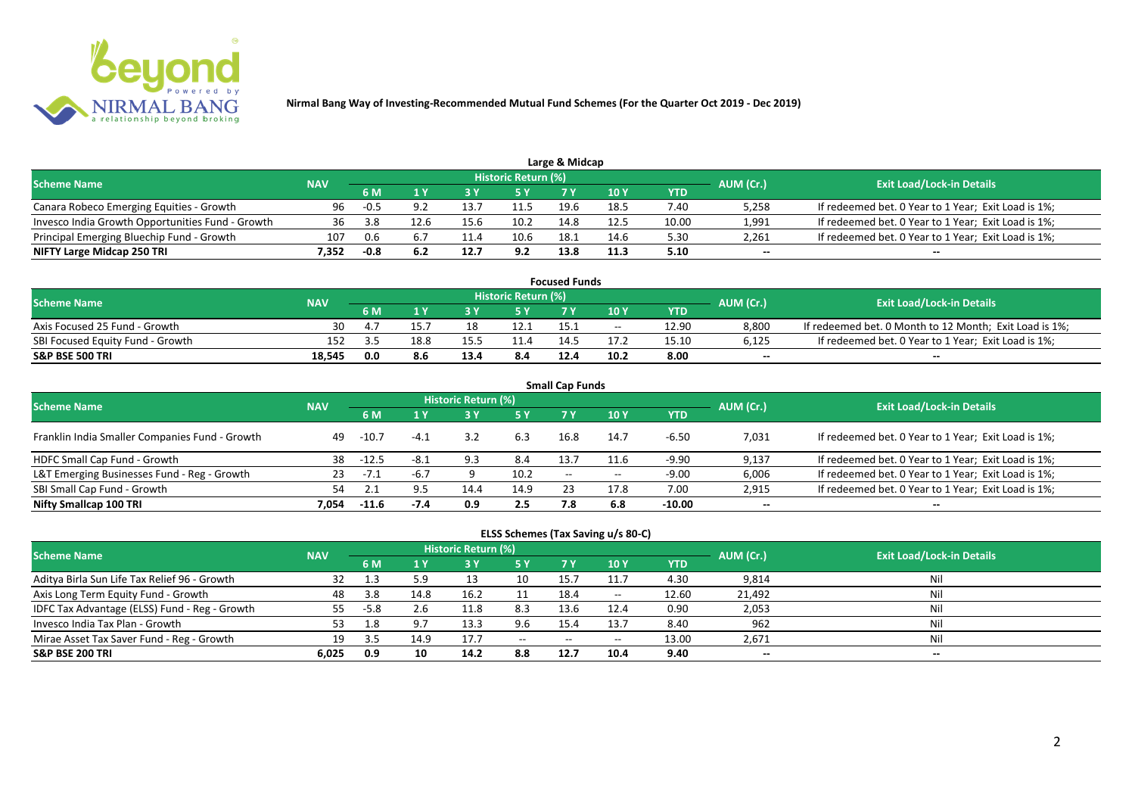

| Large & Midcap                                   |            |        |      |      |                     |      |      |       |           |                                                     |  |  |  |
|--------------------------------------------------|------------|--------|------|------|---------------------|------|------|-------|-----------|-----------------------------------------------------|--|--|--|
| <b>Scheme Name</b>                               | <b>NAV</b> |        |      |      | Historic Return (%) |      |      |       | AUM (Cr.) | <b>Exit Load/Lock-in Details</b>                    |  |  |  |
|                                                  |            |        |      |      | 5 Y                 |      | 10Y  | YTD   |           |                                                     |  |  |  |
| Canara Robeco Emerging Equities - Growth         | 96         | $-0.5$ |      | 13.  | 11.5                | 19.6 | 18.5 | 7.40  | 5,258     | If redeemed bet. 0 Year to 1 Year; Exit Load is 1%; |  |  |  |
| Invesco India Growth Opportunities Fund - Growth | 36         | 3.8    | 12.6 | 15.6 | 10.2                | 14.8 | 12.5 | 10.00 | 1,991     | If redeemed bet. 0 Year to 1 Year; Exit Load is 1%; |  |  |  |
| Principal Emerging Bluechip Fund - Growth        | 107        | 0.6    |      |      | 10.6                | 18.  | 14.6 | 5.30  | 2,261     | If redeemed bet. 0 Year to 1 Year; Exit Load is 1%; |  |  |  |
| NIFTY Large Midcap 250 TRI                       | 7.352      | -0.8   |      | 12.7 | 9.2                 | 13.8 | 11.3 | 5.10  | $- -$     | $- -$                                               |  |  |  |

| <b>Focused Funds</b>             |            |                |      |      |                            |       |            |       |           |                                                        |  |  |
|----------------------------------|------------|----------------|------|------|----------------------------|-------|------------|-------|-----------|--------------------------------------------------------|--|--|
| <b>Scheme Name</b>               | <b>NAV</b> |                |      |      | <b>Historic Return (%)</b> |       |            |       | AUM (Cr.) | <b>Exit Load/Lock-in Details</b>                       |  |  |
|                                  |            | 6 M            |      |      | 5 Y                        |       | <b>10Y</b> | YTD   |           |                                                        |  |  |
| Axis Focused 25 Fund - Growth    | 30         | $\overline{a}$ | 15.7 | 18   | 12.1                       |       | $- -$      | 12.90 | 8,800     | If redeemed bet. 0 Month to 12 Month; Exit Load is 1%; |  |  |
| SBI Focused Equity Fund - Growth | 152        |                | 18.8 | 15.5 |                            | 1 / 1 |            | 15.10 | 6,125     | If redeemed bet. 0 Year to 1 Year; Exit Load is 1%;    |  |  |
| <b>S&amp;P BSE 500 TRI</b>       | 18.545     | 0.0            | 8.6  | 13.4 | 8.4                        | 12.4  | 10.2       | 8.00  | $- -$     | $- -$                                                  |  |  |

| <b>Small Cap Funds</b>                         |            |         |        |                     |      |                          |       |          |           |                                                     |  |  |
|------------------------------------------------|------------|---------|--------|---------------------|------|--------------------------|-------|----------|-----------|-----------------------------------------------------|--|--|
| <b>Scheme Name</b>                             | <b>NAV</b> |         |        | Historic Return (%) |      |                          |       |          | AUM (Cr.) | <b>Exit Load/Lock-in Details</b>                    |  |  |
|                                                |            | 6 M     | 1 Y    | <b>3Y</b>           | 5 Y  | 10Y<br>7 Y<br><b>YTD</b> |       |          |           |                                                     |  |  |
| Franklin India Smaller Companies Fund - Growth | 49         | $-10.7$ | $-4.1$ | 3.2                 | 6.3  | 16.8                     | 14.7  | $-6.50$  | 7,031     | If redeemed bet. 0 Year to 1 Year; Exit Load is 1%; |  |  |
| HDFC Small Cap Fund - Growth                   | 38         | $-12.5$ | $-8.1$ | 9.3                 | 8.4  | 13.7                     |       | $-9.90$  | 9,137     | If redeemed bet. 0 Year to 1 Year; Exit Load is 1%; |  |  |
| L&T Emerging Businesses Fund - Reg - Growth    | 23         | $-7.1$  | $-6.7$ |                     | 10.2 | $- -$                    | $- -$ | $-9.00$  | 6,006     | If redeemed bet. 0 Year to 1 Year; Exit Load is 1%; |  |  |
| SBI Small Cap Fund - Growth                    | 54         |         |        | 14.4                | 14.9 |                          | 17.8  | 7.00     | 2,915     | If redeemed bet. 0 Year to 1 Year; Exit Load is 1%; |  |  |
| Nifty Smallcap 100 TRI                         | 7.054      | $-11.6$ | -7.4   | 0.9                 | 2.5  | 7.8                      | 6.8   | $-10.00$ | $- -$     | $- -$                                               |  |  |

|  | ELSS Schemes (Tax Saving u/s 80-C) |  |
|--|------------------------------------|--|
|--|------------------------------------|--|

| <b>Scheme Name</b>                            | <b>NAV</b> |        |      | <b>Historic Return (%)</b> |           |                |                          |            | AUM (Cr.) | <b>Exit Load/Lock-in Details</b> |
|-----------------------------------------------|------------|--------|------|----------------------------|-----------|----------------|--------------------------|------------|-----------|----------------------------------|
|                                               |            | 6 M    | 1 V  |                            | <b>5Y</b> | 7 <sub>Y</sub> | 10Y                      | <b>YTD</b> |           |                                  |
| Aditya Birla Sun Life Tax Relief 96 - Growth  |            |        |      |                            |           |                |                          | 4.30       | 9,814     | Nil                              |
| Axis Long Term Equity Fund - Growth           | 48         | 3.8    | 14.8 | 16.2                       |           | 18.4           | $\overline{\phantom{m}}$ | 12.60      | 21.492    | Nil                              |
| IDFC Tax Advantage (ELSS) Fund - Reg - Growth | 55.        | $-5.8$ |      | 11.8                       | 8.3       | 13.6           | 12.4                     | 0.90       | 2,053     | Nil                              |
| Invesco India Tax Plan - Growth               | 53         |        |      | 13.3                       | 9.6       | 15.4           | 13.7                     | 8.40       | 962       | Nil                              |
| Mirae Asset Tax Saver Fund - Reg - Growth     | 19         |        | 14.9 | 17.7                       | $ -$      | $-$            | $\overline{\phantom{m}}$ | 13.00      | 2,671     | Nil                              |
| <b>S&amp;P BSE 200 TRI</b>                    | 6.025      | 0.9    | 10   | 14.2                       | 8.8       | 12.7           | 10.4                     | 9.40       | $- -$     | $- -$                            |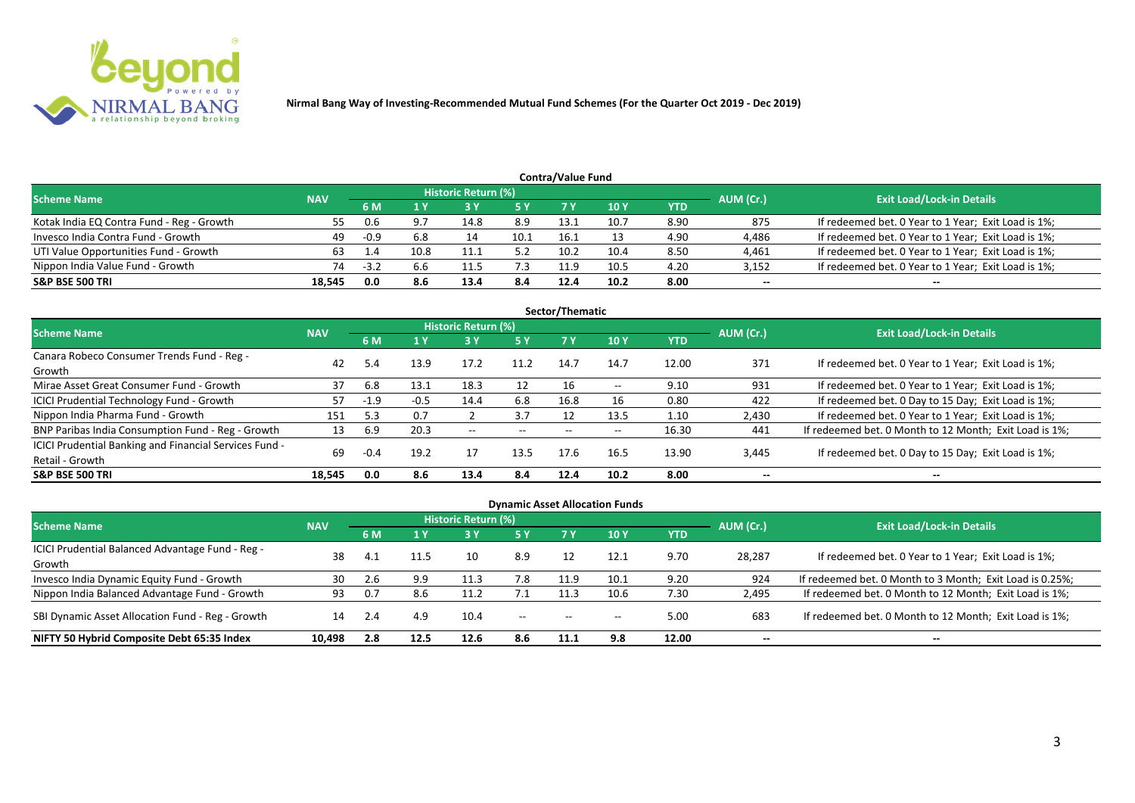

| <b>Contra/Value Fund</b>                  |            |      |      |                     |      |      |      |      |           |                                                     |  |  |  |
|-------------------------------------------|------------|------|------|---------------------|------|------|------|------|-----------|-----------------------------------------------------|--|--|--|
| <b>Scheme Name</b>                        | <b>NAV</b> |      |      | Historic Return (%) |      |      |      |      | AUM (Cr.) | <b>Exit Load/Lock-in Details</b>                    |  |  |  |
|                                           |            | 6 M  | 1 Y  |                     | 5 Y  | 7 Y  | 10Y  | YTD  |           |                                                     |  |  |  |
| Kotak India EQ Contra Fund - Reg - Growth | 55         | 0.6  | 9.7  | 14.8                | 8.9  | 13.1 | 10.7 | 8.90 | 875       | If redeemed bet. 0 Year to 1 Year; Exit Load is 1%; |  |  |  |
| Invesco India Contra Fund - Growth        | 49         | -0.9 | 6.8  |                     | 10.1 | 16.1 |      | 4.90 | 4,486     | If redeemed bet. 0 Year to 1 Year; Exit Load is 1%; |  |  |  |
| UTI Value Opportunities Fund - Growth     | 63         | 1.4  | 10.8 | 11.1                | 5.2  | 10.2 | 10.4 | 8.50 | 4,461     | If redeemed bet. 0 Year to 1 Year; Exit Load is 1%; |  |  |  |
| Nippon India Value Fund - Growth          | 74         | -3.4 | 6.6  | 11.5                | 7.3  | 11.9 | 10.5 | 4.20 | 3,152     | If redeemed bet. 0 Year to 1 Year; Exit Load is 1%; |  |  |  |
| <b>S&amp;P BSE 500 TRI</b>                | 18.545     | 0.0  | 8.6  | 13.4                | 8.4  | 12.4 | 10.2 | 8.00 | --        | $- -$                                               |  |  |  |

|                                                        | Sector/Thematic |        |        |                     |       |      |               |            |                                  |                                                        |  |  |  |  |
|--------------------------------------------------------|-----------------|--------|--------|---------------------|-------|------|---------------|------------|----------------------------------|--------------------------------------------------------|--|--|--|--|
| <b>Scheme Name</b>                                     | <b>NAV</b>      |        |        | Historic Return (%) |       |      |               | AUM (Cr.)  | <b>Exit Load/Lock-in Details</b> |                                                        |  |  |  |  |
|                                                        |                 | 6 M    | 1 Y    | 73 Y                | 5 Y   | 7 Y  | 10Y           | <b>YTD</b> |                                  |                                                        |  |  |  |  |
| Canara Robeco Consumer Trends Fund - Reg -             |                 |        |        |                     |       |      |               |            |                                  |                                                        |  |  |  |  |
| Growth                                                 | 42              | 5.4    | 13.9   | 17.2                | 11.2  | 14.7 | 14.7          | 12.00      | 371                              | If redeemed bet. 0 Year to 1 Year; Exit Load is 1%;    |  |  |  |  |
| Mirae Asset Great Consumer Fund - Growth               | 37              | 6.8    | 13.1   | 18.3                | 12    | 16   | $\sim$ $\sim$ | 9.10       | 931                              | If redeemed bet. 0 Year to 1 Year; Exit Load is 1%;    |  |  |  |  |
| <b>ICICI Prudential Technology Fund - Growth</b>       | 57              | $-1.9$ | $-0.5$ | 14.4                | 6.8   | 16.8 | 16            | 0.80       | 422                              | If redeemed bet. 0 Day to 15 Day; Exit Load is 1%;     |  |  |  |  |
| Nippon India Pharma Fund - Growth                      | 151             | 5.3    | 0.7    |                     | 3.7   |      | 13.5          | 1.10       | 2,430                            | If redeemed bet. 0 Year to 1 Year; Exit Load is 1%;    |  |  |  |  |
| BNP Paribas India Consumption Fund - Reg - Growth      | 13              | 6.9    | 20.3   | $- -$               | $- -$ |      | $- -$         | 16.30      | 441                              | If redeemed bet. 0 Month to 12 Month; Exit Load is 1%; |  |  |  |  |
| ICICI Prudential Banking and Financial Services Fund - | 69              |        |        |                     | 13.5  | 17.6 | 16.5          | 13.90      |                                  |                                                        |  |  |  |  |
| Retail - Growth                                        |                 | $-0.4$ | 19.2   | 17                  |       |      |               |            | 3,445                            | If redeemed bet. 0 Day to 15 Day; Exit Load is 1%;     |  |  |  |  |
| <b>S&amp;P BSE 500 TRI</b>                             | 18.545          | 0.0    | 8.6    | 13.4                | 8.4   | 12.4 | 10.2          | 8.00       | --                               | $- -$                                                  |  |  |  |  |

|                                                  |            |                                 |            |                            |       |                          | <b>Dynamic Asset Allocation Funds</b> |       |           |                                                          |
|--------------------------------------------------|------------|---------------------------------|------------|----------------------------|-------|--------------------------|---------------------------------------|-------|-----------|----------------------------------------------------------|
| <b>Scheme Name</b>                               | <b>NAV</b> |                                 |            | <b>Historic Return (%)</b> |       |                          |                                       |       | AUM (Cr.) | <b>Exit Load/Lock-in Details</b>                         |
|                                                  |            | 1 Y<br>5 Y<br>7 Y<br><b>10Y</b> | <b>YTD</b> |                            |       |                          |                                       |       |           |                                                          |
| ICICI Prudential Balanced Advantage Fund - Reg - | 38         |                                 |            |                            |       |                          | 12.1                                  |       |           |                                                          |
| Growth                                           |            | 4.1                             | l 1.5      | 10                         | 8.9   |                          |                                       | 9.70  | 28,287    | If redeemed bet. 0 Year to 1 Year; Exit Load is 1%;      |
| Invesco India Dynamic Equity Fund - Growth       | 30         | 2.6                             | 9.9        | 11.3                       | 7.8   | 11.9                     | 10.1                                  | 9.20  | 924       | If redeemed bet. 0 Month to 3 Month; Exit Load is 0.25%; |
| Nippon India Balanced Advantage Fund - Growth    | 93         | 0.7                             | 8.6        | 11.2                       |       | 11.3                     | 10.6                                  | 7.30  | 2,495     | If redeemed bet. 0 Month to 12 Month; Exit Load is 1%;   |
| SBI Dynamic Asset Allocation Fund - Reg - Growth | 14         | -2.4                            | 4.9        | 10.4                       | $- -$ | $\overline{\phantom{a}}$ | $\overline{\phantom{a}}$              | 5.00  | 683       | If redeemed bet. 0 Month to 12 Month; Exit Load is 1%;   |
| NIFTY 50 Hybrid Composite Debt 65:35 Index       | 10.498     | 2.8                             | 12.5       | 12.6                       | 8.6   | 11.1                     | 9.8                                   | 12.00 | $- -$     | $- -$                                                    |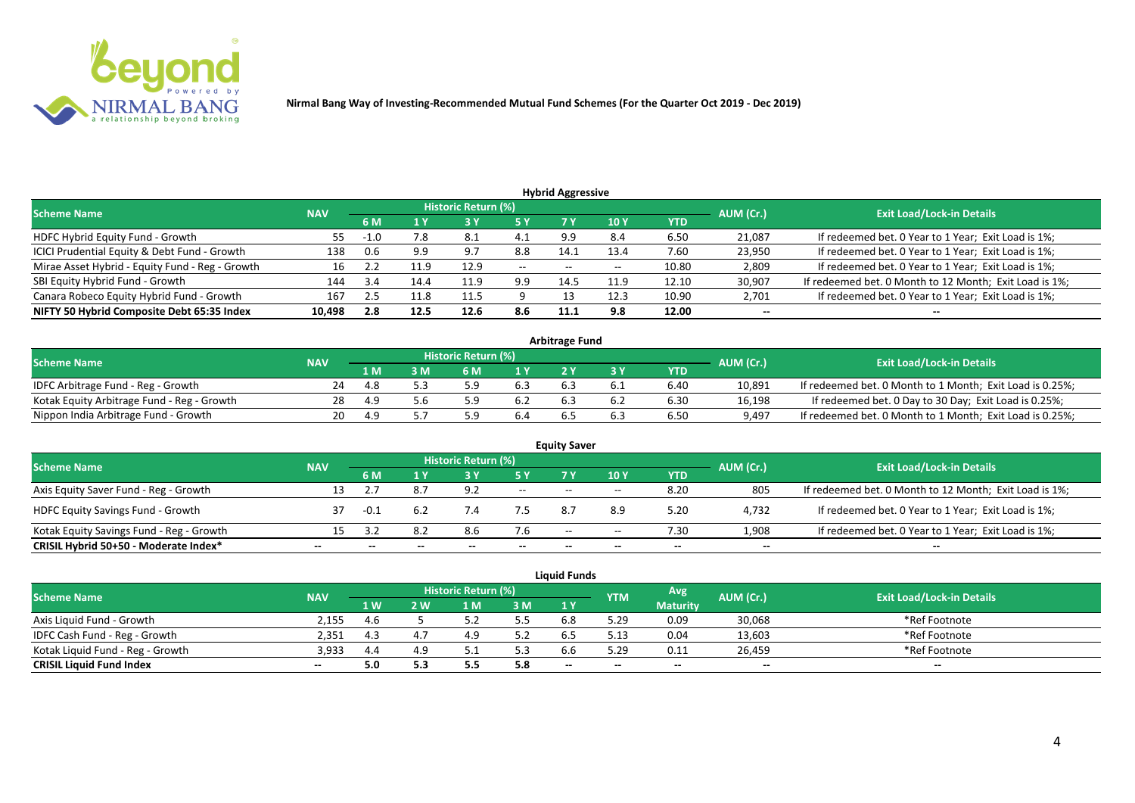

| <b>Hybrid Aggressive</b>                        |            |        |      |                            |       |                          |                 |            |           |                                                        |  |  |  |
|-------------------------------------------------|------------|--------|------|----------------------------|-------|--------------------------|-----------------|------------|-----------|--------------------------------------------------------|--|--|--|
| <b>Scheme Name</b>                              | <b>NAV</b> |        |      | <b>Historic Return (%)</b> |       |                          |                 |            | AUM (Cr.) | <b>Exit Load/Lock-in Details</b>                       |  |  |  |
|                                                 |            | 6 M    |      |                            | 5 Y   |                          | 10 <sub>1</sub> | <b>YTD</b> |           |                                                        |  |  |  |
| HDFC Hybrid Equity Fund - Growth                | 55.        | $-1.0$ | 7.8  | 8.1                        | 4.1   | 9.9                      | -8.4            | 6.50       | 21,087    | If redeemed bet. 0 Year to 1 Year; Exit Load is 1%;    |  |  |  |
| ICICI Prudential Equity & Debt Fund - Growth    | 138        |        | 9.9  | 9.7                        | 8.8   | 14.1                     | 13.4            | 7.60       | 23,950    | If redeemed bet. 0 Year to 1 Year; Exit Load is 1%;    |  |  |  |
| Mirae Asset Hybrid - Equity Fund - Reg - Growth | 16         | ے . ۔  |      | 12.9                       | $- -$ | $\overline{\phantom{a}}$ | $- -$           | 10.80      | 2,809     | If redeemed bet. 0 Year to 1 Year; Exit Load is 1%;    |  |  |  |
| SBI Equity Hybrid Fund - Growth                 | 144        | 3.4    | 14.4 | 11.9                       | 9.9   | 14.5                     | 11.9            | 12.10      | 30,907    | If redeemed bet. 0 Month to 12 Month; Exit Load is 1%; |  |  |  |
| Canara Robeco Equity Hybrid Fund - Growth       | 167        | 2.5    |      | 11.5                       |       |                          | 12.3            | 10.90      | 2,701     | If redeemed bet. 0 Year to 1 Year; Exit Load is 1%;    |  |  |  |
| NIFTY 50 Hybrid Composite Debt 65:35 Index      | 10,498     | 2.8    | 12.5 | 12.6                       | 8.6   | 11.1                     | 9.8             | 12.00      | $- -$     | $- -$                                                  |  |  |  |

| <b>Arbitrage Fund</b>                      |            |     |     |                     |     |     |     |      |           |                                                          |  |  |  |
|--------------------------------------------|------------|-----|-----|---------------------|-----|-----|-----|------|-----------|----------------------------------------------------------|--|--|--|
| <b>Scheme Name</b>                         | <b>NAV</b> |     |     | Historic Return (%) |     |     |     |      | AUM (Cr.) | <b>Exit Load/Lock-in Details</b>                         |  |  |  |
|                                            |            | 1 M | . M | ና M                 | 1 V |     |     | YTD  |           |                                                          |  |  |  |
| IDFC Arbitrage Fund - Reg - Growth         | 24         |     |     |                     | 6.3 |     |     | 6.40 | 10,891    | If redeemed bet. 0 Month to 1 Month; Exit Load is 0.25%; |  |  |  |
| Kotak Equity Arbitrage Fund - Reg - Growth | 28         |     | 5.b |                     | 6.2 | 6.3 | b.Z | 6.30 | 16,198    | If redeemed bet. 0 Day to 30 Day; Exit Load is 0.25%;    |  |  |  |
| Nippon India Arbitrage Fund - Growth       |            |     |     |                     |     |     |     | 6.50 | 9,497     | If redeemed bet. 0 Month to 1 Month; Exit Load is 0.25%; |  |  |  |

|                                          |            |        |     | <b>Historic Return (%)</b> |       | <b>Equity Saver</b> |       |      |           |                                                        |
|------------------------------------------|------------|--------|-----|----------------------------|-------|---------------------|-------|------|-----------|--------------------------------------------------------|
| <b>Scheme Name</b>                       | <b>NAV</b> | 6 M    |     |                            | 5 Y   |                     | 10Y   | YTD  | AUM (Cr.) | <b>Exit Load/Lock-in Details</b>                       |
| Axis Equity Saver Fund - Reg - Growth    | 13         |        | 8.7 | 9.2                        | $ -$  | $- -$               | $- -$ | 8.20 | 805       | If redeemed bet. 0 Month to 12 Month; Exit Load is 1%; |
| <b>HDFC Equity Savings Fund - Growth</b> |            | $-0.1$ | 6.2 | 7.4                        |       |                     | 8.9   | 5.20 | 4,732     | If redeemed bet. 0 Year to 1 Year; Exit Load is 1%;    |
| Kotak Equity Savings Fund - Reg - Growth | 15         |        | 8.2 |                            | 7.6   | $-$                 | $- -$ | 7.30 | 1,908     | If redeemed bet. 0 Year to 1 Year; Exit Load is 1%;    |
| CRISIL Hybrid 50+50 - Moderate Index*    | --         |        |     |                            | $- -$ | $- -$               | --    | $-$  | $- -$     | $-$                                                    |

|                                  |            |      |     |                            |     | <b>Liquid Funds</b> |                          |                 |           |                                  |
|----------------------------------|------------|------|-----|----------------------------|-----|---------------------|--------------------------|-----------------|-----------|----------------------------------|
| <b>Scheme Name</b>               | <b>NAV</b> |      |     | <b>Historic Return (%)</b> |     |                     | YTM                      | Avg             | AUM (Cr.) | <b>Exit Load/Lock-in Details</b> |
|                                  |            | 1 W. | ' W |                            | 3M  | 1Y                  |                          | <b>Maturity</b> |           |                                  |
| Axis Liquid Fund - Growth        | 2.155      | 4.6  |     |                            | 5.5 | 6.8                 | 5.29                     | 0.09            | 30,068    | *Ref Footnote                    |
| IDFC Cash Fund - Reg - Growth    | 2.351      | 4.3  |     |                            | 5.2 | 6.5                 | 5.13                     | 0.04            | 13,603    | *Ref Footnote                    |
| Kotak Liquid Fund - Reg - Growth | 3,933      | 4.4  |     |                            | 5.3 | b.b                 | 5.29                     | 0.11            | 26,459    | *Ref Footnote                    |
| <b>CRISIL Liquid Fund Index</b>  | $- -$      | 5.0  | 5.3 | כ.כ                        | 5.8 | $-$                 | $\overline{\phantom{a}}$ | $-$             | $- -$     | $- -$                            |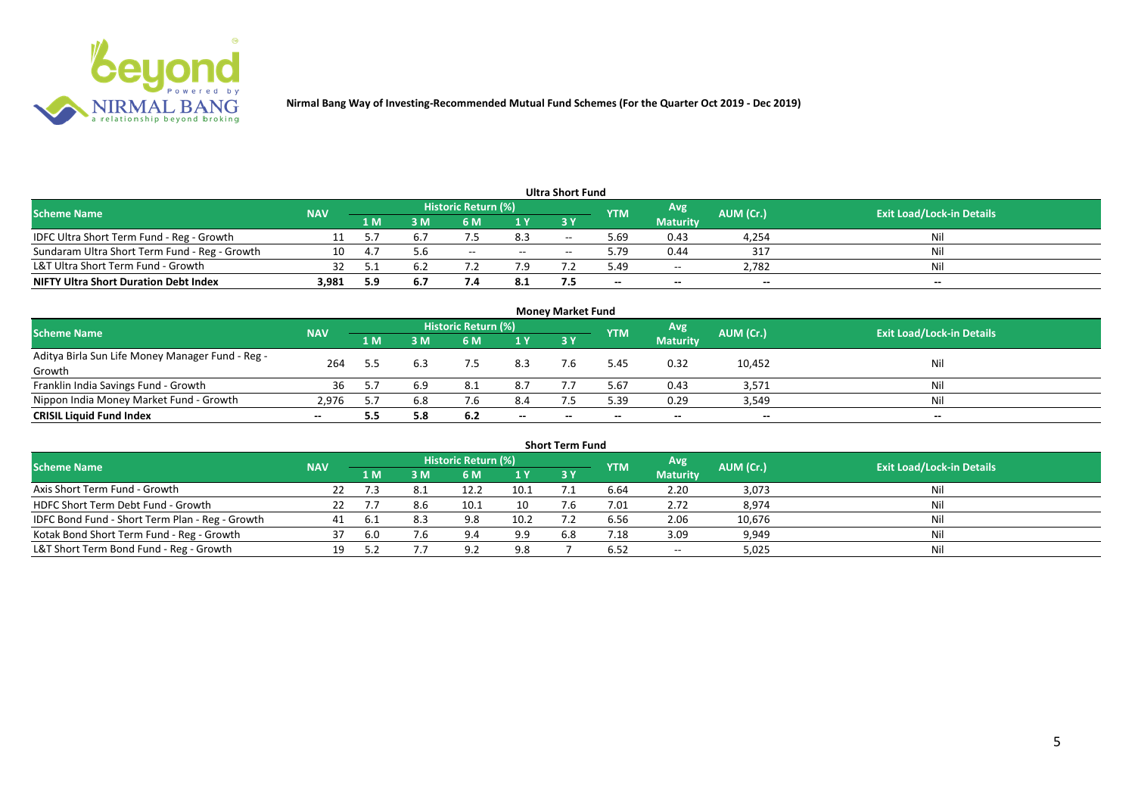

|                                               |            |      |     |                     |       | <b>Ultra Short Fund</b> |            |                 |           |                                  |
|-----------------------------------------------|------------|------|-----|---------------------|-------|-------------------------|------------|-----------------|-----------|----------------------------------|
| <b>Scheme Name</b>                            | <b>NAV</b> |      |     | Historic Return (%) |       |                         | <b>YTM</b> | Avg             | AUM (Cr.) | <b>Exit Load/Lock-in Details</b> |
|                                               |            | '1 M | l M | 6 M                 | 1Y    | <b>3Y</b>               |            | <b>Maturity</b> |           |                                  |
| IDFC Ultra Short Term Fund - Reg - Growth     |            |      | 6.7 |                     | 8.3   | $-$                     | 69         | 0.43            | 4,254     | Ni                               |
| Sundaram Ultra Short Term Fund - Reg - Growth | 10         |      | 5.6 | $- -$               | $- -$ |                         | 79.د       | 0.44            | 317       | Nil                              |
| L&T Ultra Short Term Fund - Growth            |            |      | b.2 |                     | 7.9   |                         | 5.49       | $\sim$ $\sim$   | 2.782     | Nil                              |
| <b>NIFTY Ultra Short Duration Debt Index</b>  | 3,981      | 5.9  | 6.7 |                     | 8.1   |                         | $-$        | $-$             | $- -$     | $- -$                            |

| <b>Money Market Fund</b>                         |            |     |     |                     |       |           |            |                 |           |                                  |  |  |  |
|--------------------------------------------------|------------|-----|-----|---------------------|-------|-----------|------------|-----------------|-----------|----------------------------------|--|--|--|
| <b>Scheme Name</b>                               | <b>NAV</b> |     |     | Historic Return (%) |       |           | <b>YTM</b> | Avg.            | AUM (Cr.) | <b>Exit Load/Lock-in Details</b> |  |  |  |
|                                                  |            | 1 M | I M | 6 M                 | 1Y    | <b>3Y</b> |            | <b>Maturity</b> |           |                                  |  |  |  |
| Aditya Birla Sun Life Money Manager Fund - Reg - | 264        | 5.5 | 6.3 |                     | 8.3   |           | .45 د      | 0.32            | 10,452    | Nil                              |  |  |  |
| Growth                                           |            |     |     |                     |       |           |            |                 |           |                                  |  |  |  |
| Franklin India Savings Fund - Growth             | 36         |     | 6.9 | 8.1                 | 8.7   |           | 5.67       | 0.43            | 3,571     | Nil                              |  |  |  |
| Nippon India Money Market Fund - Growth          | 2.976      | 5.7 | 6.8 |                     | 8.4   |           | 5.39       | 0.29            | 3,549     | Nil                              |  |  |  |
| <b>CRISIL Liquid Fund Index</b>                  |            | 5.5 | 5.8 | 6.2                 | $- -$ |           | $- -$      | $- -$           | $- -$     | $- -$                            |  |  |  |

|                                                 |            |       |     |                            |      | <b>Short Term Fund</b> |            |                 |           |                                  |
|-------------------------------------------------|------------|-------|-----|----------------------------|------|------------------------|------------|-----------------|-----------|----------------------------------|
| <b>Scheme Name</b>                              | <b>NAV</b> |       |     | <b>Historic Return (%)</b> |      |                        | <b>YTM</b> | Avg             | AUM (Cr.) | <b>Exit Load/Lock-in Details</b> |
|                                                 |            | '1 M. | 3 M | <b>6M</b>                  | 1Y   | <b>3 Y</b>             |            | <b>Maturity</b> |           |                                  |
| Axis Short Term Fund - Growth                   | 22         |       |     | 12.2                       | 10.1 |                        | 6.64       | 2.20            | 3,073     | Nil                              |
| HDFC Short Term Debt Fund - Growth              |            |       |     | 10.1                       | 10   |                        | 7.01       | 2.72            | 8,974     | Nil                              |
| IDFC Bond Fund - Short Term Plan - Reg - Growth |            |       |     | 9.8                        | 10.2 |                        | 6.56       | 2.06            | 10,676    | Nil                              |
| Kotak Bond Short Term Fund - Reg - Growth       | 37         | 6.0   | 7.6 | 9.4                        | 9.9  | 6.8                    | 7.18       | 3.09            | 9,949     | Nil                              |
| L&T Short Term Bond Fund - Reg - Growth         | 19         |       |     | 9)                         | 9.8  |                        | 6.52       | $- -$           | 5,025     | Nil                              |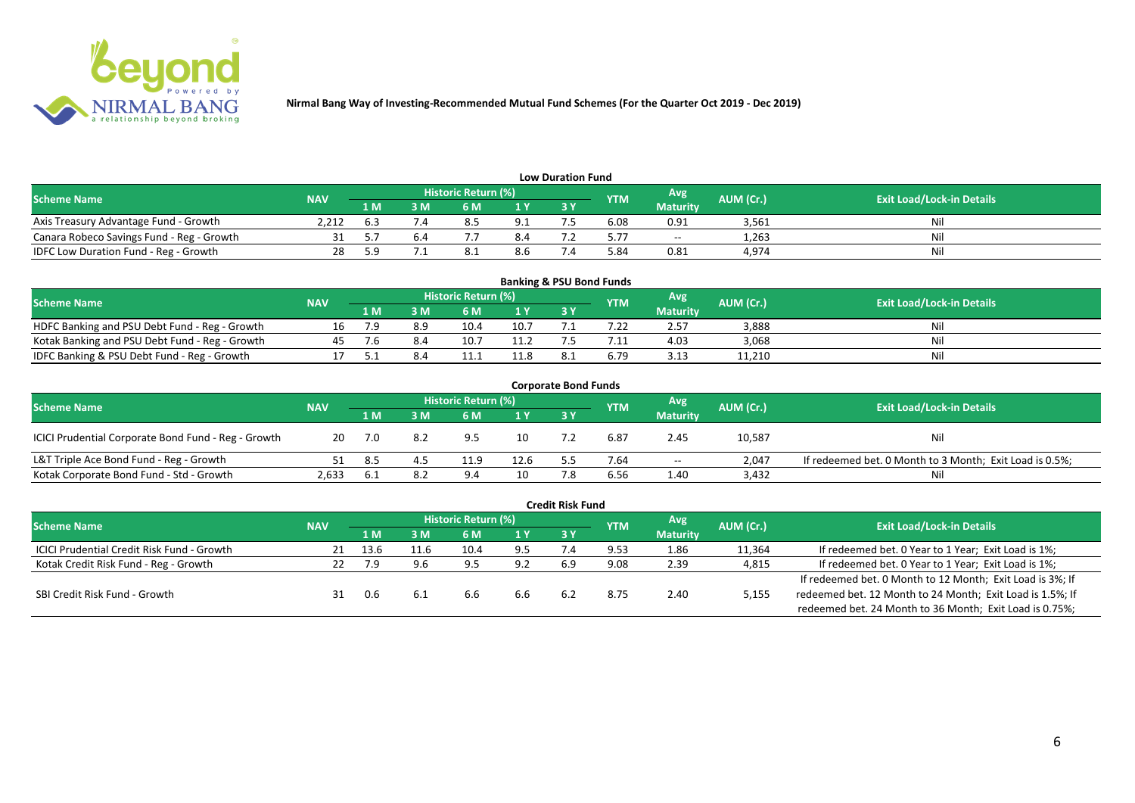

| <b>Low Duration Fund</b>                  |                                                                            |     |                                  |  |     |    |      |                 |       |    |  |  |  |  |
|-------------------------------------------|----------------------------------------------------------------------------|-----|----------------------------------|--|-----|----|------|-----------------|-------|----|--|--|--|--|
| <b>Scheme Name</b>                        | <b>Historic Return (%)</b><br>Avg<br>AUM (Cr.)<br><b>NAV</b><br><b>YTM</b> |     | <b>Exit Load/Lock-in Details</b> |  |     |    |      |                 |       |    |  |  |  |  |
|                                           |                                                                            | 1 M | sм                               |  | 1 Y | 3Y |      | <b>Maturity</b> |       |    |  |  |  |  |
| Axis Treasury Advantage Fund - Growth     | 2.212                                                                      |     |                                  |  |     |    | 6.08 | 0.91            | 3,561 | Ni |  |  |  |  |
| Canara Robeco Savings Fund - Reg - Growth |                                                                            |     |                                  |  | 8.4 |    | 5.77 | $\sim$          | 1,263 |    |  |  |  |  |
| IDFC Low Duration Fund - Reg - Growth     |                                                                            |     |                                  |  | 8.b |    | 84.د | 0.81            | 4,974 | Ni |  |  |  |  |

| <b>Banking &amp; PSU Bond Funds</b>            |            |     |     |                            |      |            |            |                 |           |                                  |  |  |  |
|------------------------------------------------|------------|-----|-----|----------------------------|------|------------|------------|-----------------|-----------|----------------------------------|--|--|--|
| <b>Scheme Name</b>                             | <b>NAV</b> |     |     | <b>Historic Return (%)</b> |      |            | <b>YTM</b> | 'Avg            | AUM (Cr.) | <b>Exit Load/Lock-in Details</b> |  |  |  |
|                                                |            | 1 M | I M | 6 M                        |      | <b>3 Y</b> |            | <b>Maturity</b> |           |                                  |  |  |  |
| HDFC Banking and PSU Debt Fund - Reg - Growth  |            |     | 8.9 |                            | 10.7 |            |            | 2.57            | 3.888     |                                  |  |  |  |
| Kotak Banking and PSU Debt Fund - Reg - Growth | "          |     |     |                            |      |            |            | 4.03            | 3,068     | Ni                               |  |  |  |
| IDFC Banking & PSU Debt Fund - Reg - Growth    |            |     |     |                            | 11.8 |            | 6.79       | 3.13            | 11,210    | Ni                               |  |  |  |

| <b>Corporate Bond Funds</b>                         |            |     |     |                     |                |     |            |                 |           |                                                         |  |  |  |
|-----------------------------------------------------|------------|-----|-----|---------------------|----------------|-----|------------|-----------------|-----------|---------------------------------------------------------|--|--|--|
| <b>Scheme Name</b>                                  | <b>NAV</b> |     |     | Historic Return (%) |                |     | <b>YTM</b> | Avg             | AUM (Cr.) | <b>Exit Load/Lock-in Details</b>                        |  |  |  |
|                                                     |            | 1 M | 3 M | 6 M                 | 1 <sup>Y</sup> | 3 Y |            | <b>Maturity</b> |           |                                                         |  |  |  |
| ICICI Prudential Corporate Bond Fund - Reg - Growth | 20         |     | 8.2 | 9.5                 | 10             |     | 6.87       | 2.45            | 10,587    | Nil                                                     |  |  |  |
| L&T Triple Ace Bond Fund - Reg - Growth             |            | 8.5 |     |                     | 12.6           |     | 7.64       | $- -$           | 2.047     | If redeemed bet. 0 Month to 3 Month; Exit Load is 0.5%; |  |  |  |
| Kotak Corporate Bond Fund - Std - Growth            | 2,633      | 6.L | 8.2 | 94                  | 10             |     | 6.56       | 1.40            | 3,432     | Nil                                                     |  |  |  |

|                                                   |            |      |      |                     |     | <b>Credit Risk Fund</b> |            |                 |           |                                                           |
|---------------------------------------------------|------------|------|------|---------------------|-----|-------------------------|------------|-----------------|-----------|-----------------------------------------------------------|
| <b>Scheme Name</b>                                | <b>NAV</b> |      |      | Historic Return (%) |     |                         | <b>YTM</b> | Avg             | AUM (Cr.) | <b>Exit Load/Lock-in Details</b>                          |
|                                                   |            | 1 M  | ١M   | 6 M                 | 1 Y | 3V                      |            | <b>Maturity</b> |           |                                                           |
| <b>ICICI Prudential Credit Risk Fund - Growth</b> | 21         | 13.6 | 11.6 |                     | 9.5 |                         | 9.53       | 1.86            | 11,364    | If redeemed bet. 0 Year to 1 Year; Exit Load is 1%;       |
| Kotak Credit Risk Fund - Reg - Growth             | 22         |      | 9.6  | $Q$ 5               | 9.2 | 6.9                     | 9.08       | 2.39            | 4,815     | If redeemed bet. 0 Year to 1 Year; Exit Load is 1%;       |
|                                                   |            |      |      |                     |     |                         |            |                 |           | If redeemed bet. 0 Month to 12 Month; Exit Load is 3%; If |
| SBI Credit Risk Fund - Growth                     |            | 0.6  | 6.1  | 6.6                 | 6.6 | 6.2                     | 8.75       | 2.40            | 5,155     | redeemed bet. 12 Month to 24 Month; Exit Load is 1.5%; If |
|                                                   |            |      |      |                     |     |                         |            |                 |           | redeemed bet. 24 Month to 36 Month; Exit Load is 0.75%;   |